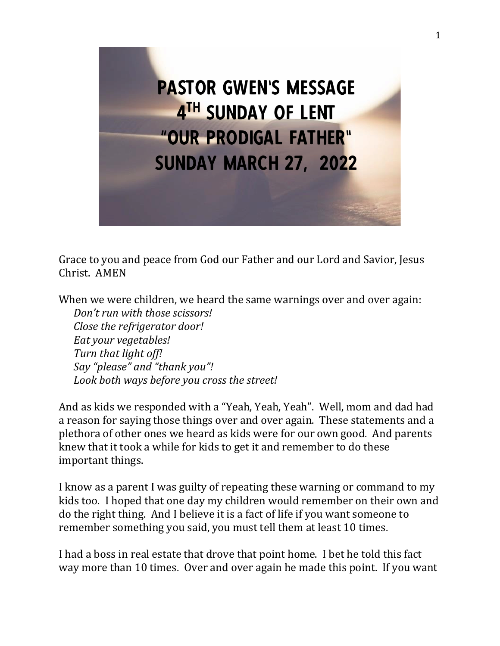

Grace to you and peace from God our Father and our Lord and Savior, Jesus Christ. AMEN

When we were children, we heard the same warnings over and over again: *Don't run with those scissors! Close the refrigerator door! Eat your vegetables! Turn that light off! Say "please" and "thank you"!*

*Look both ways before you cross the street!*

And as kids we responded with a "Yeah, Yeah, Yeah". Well, mom and dad had a reason for saying those things over and over again. These statements and a plethora of other ones we heard as kids were for our own good. And parents knew that it took a while for kids to get it and remember to do these important things.

I know as a parent I was guilty of repeating these warning or command to my kids too. I hoped that one day my children would remember on their own and do the right thing. And I believe it is a fact of life if you want someone to remember something you said, you must tell them at least 10 times.

I had a boss in real estate that drove that point home. I bet he told this fact way more than 10 times. Over and over again he made this point. If you want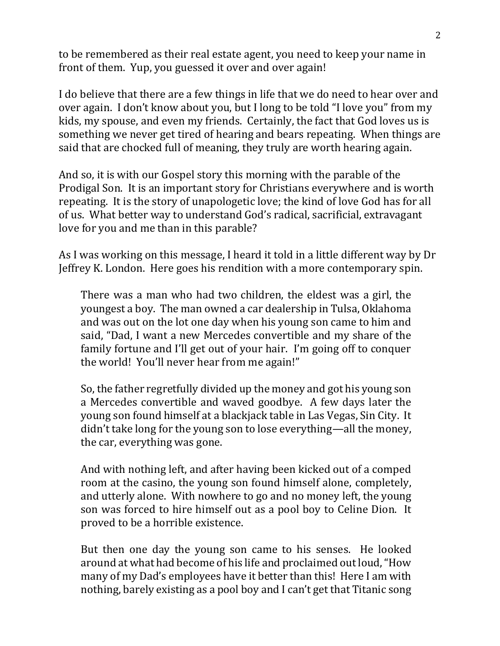to be remembered as their real estate agent, you need to keep your name in front of them. Yup, you guessed it over and over again!

I do believe that there are a few things in life that we do need to hear over and over again. I don't know about you, but I long to be told "I love you" from my kids, my spouse, and even my friends. Certainly, the fact that God loves us is something we never get tired of hearing and bears repeating. When things are said that are chocked full of meaning, they truly are worth hearing again.

And so, it is with our Gospel story this morning with the parable of the Prodigal Son. It is an important story for Christians everywhere and is worth repeating. It is the story of unapologetic love; the kind of love God has for all of us. What better way to understand God's radical, sacrificial, extravagant love for you and me than in this parable?

As I was working on this message, I heard it told in a little different way by Dr Jeffrey K. London. Here goes his rendition with a more contemporary spin.

There was a man who had two children, the eldest was a girl, the youngest a boy. The man owned a car dealership in Tulsa, Oklahoma and was out on the lot one day when his young son came to him and said, "Dad, I want a new Mercedes convertible and my share of the family fortune and I'll get out of your hair. I'm going off to conquer the world! You'll never hear from me again!"

So, the father regretfully divided up the money and got his young son a Mercedes convertible and waved goodbye. A few days later the young son found himself at a blackjack table in Las Vegas, Sin City. It didn't take long for the young son to lose everything—all the money, the car, everything was gone.

And with nothing left, and after having been kicked out of a comped room at the casino, the young son found himself alone, completely, and utterly alone. With nowhere to go and no money left, the young son was forced to hire himself out as a pool boy to Celine Dion. It proved to be a horrible existence.

But then one day the young son came to his senses. He looked around at what had become of his life and proclaimed out loud, "How many of my Dad's employees have it better than this! Here I am with nothing, barely existing as a pool boy and I can't get that Titanic song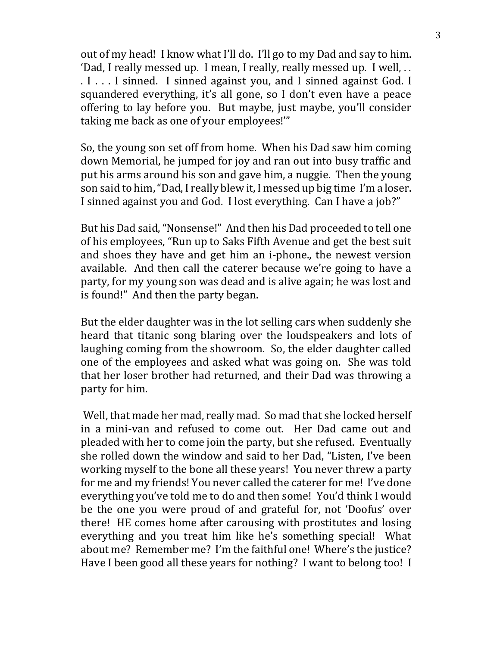out of my head! I know what I'll do. I'll go to my Dad and say to him. 'Dad, I really messed up. I mean, I really, really messed up. I well, . . . I . . . I sinned. I sinned against you, and I sinned against God. I squandered everything, it's all gone, so I don't even have a peace offering to lay before you. But maybe, just maybe, you'll consider taking me back as one of your employees!'"

So, the young son set off from home. When his Dad saw him coming down Memorial, he jumped for joy and ran out into busy traffic and put his arms around his son and gave him, a nuggie. Then the young son said to him, "Dad, I really blew it, I messed up big time I'm a loser. I sinned against you and God. I lost everything. Can I have a job?"

But his Dad said, "Nonsense!" And then his Dad proceeded to tell one of his employees, "Run up to Saks Fifth Avenue and get the best suit and shoes they have and get him an i-phone., the newest version available. And then call the caterer because we're going to have a party, for my young son was dead and is alive again; he was lost and is found!" And then the party began.

But the elder daughter was in the lot selling cars when suddenly she heard that titanic song blaring over the loudspeakers and lots of laughing coming from the showroom. So, the elder daughter called one of the employees and asked what was going on. She was told that her loser brother had returned, and their Dad was throwing a party for him.

Well, that made her mad, really mad. So mad that she locked herself in a mini-van and refused to come out. Her Dad came out and pleaded with her to come join the party, but she refused. Eventually she rolled down the window and said to her Dad, "Listen, I've been working myself to the bone all these years! You never threw a party for me and my friends! You never called the caterer for me! I've done everything you've told me to do and then some! You'd think I would be the one you were proud of and grateful for, not 'Doofus' over there! HE comes home after carousing with prostitutes and losing everything and you treat him like he's something special! What about me? Remember me? I'm the faithful one! Where's the justice? Have I been good all these years for nothing? I want to belong too! I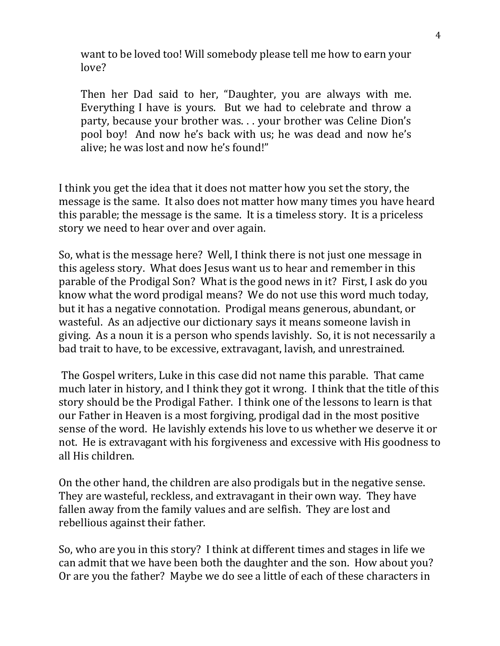want to be loved too! Will somebody please tell me how to earn your love?

Then her Dad said to her, "Daughter, you are always with me. Everything I have is yours. But we had to celebrate and throw a party, because your brother was. . . your brother was Celine Dion's pool boy! And now he's back with us; he was dead and now he's alive; he was lost and now he's found!"

I think you get the idea that it does not matter how you set the story, the message is the same. It also does not matter how many times you have heard this parable; the message is the same. It is a timeless story. It is a priceless story we need to hear over and over again.

So, what is the message here? Well, I think there is not just one message in this ageless story. What does Jesus want us to hear and remember in this parable of the Prodigal Son? What is the good news in it? First, I ask do you know what the word prodigal means? We do not use this word much today, but it has a negative connotation. Prodigal means generous, abundant, or wasteful. As an adjective our dictionary says it means someone lavish in giving. As a noun it is a person who spends lavishly. So, it is not necessarily a bad trait to have, to be excessive, extravagant, lavish, and unrestrained.

The Gospel writers, Luke in this case did not name this parable. That came much later in history, and I think they got it wrong. I think that the title of this story should be the Prodigal Father. I think one of the lessons to learn is that our Father in Heaven is a most forgiving, prodigal dad in the most positive sense of the word. He lavishly extends his love to us whether we deserve it or not. He is extravagant with his forgiveness and excessive with His goodness to all His children.

On the other hand, the children are also prodigals but in the negative sense. They are wasteful, reckless, and extravagant in their own way. They have fallen away from the family values and are selfish. They are lost and rebellious against their father.

So, who are you in this story? I think at different times and stages in life we can admit that we have been both the daughter and the son. How about you? Or are you the father? Maybe we do see a little of each of these characters in